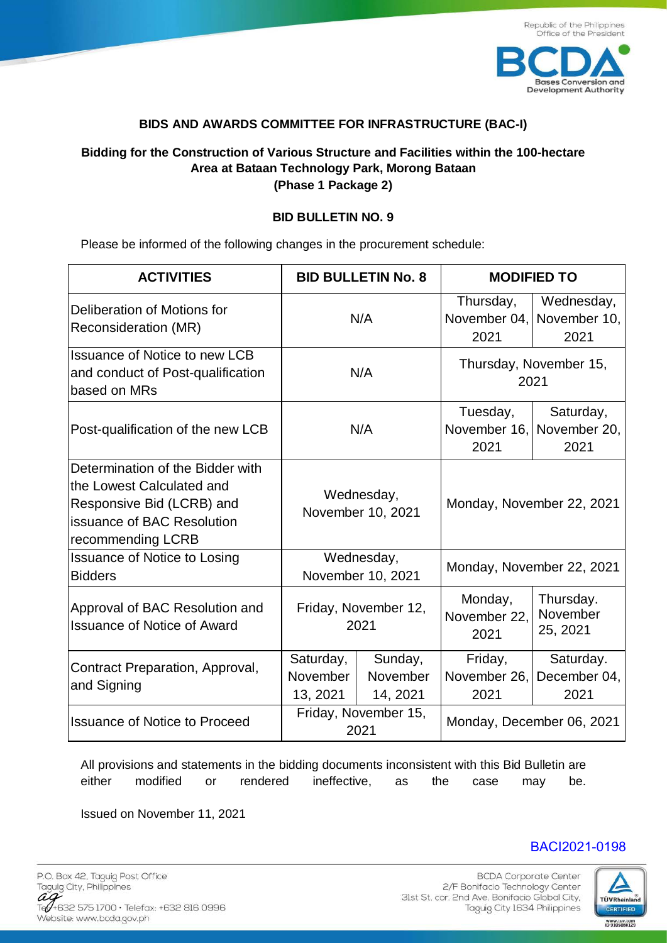

## **BIDS AND AWARDS COMMITTEE FOR INFRASTRUCTURE (BAC-I)**

## **Bidding for the Construction of Various Structure and Facilities within the 100-hectare Area at Bataan Technology Park, Morong Bataan (Phase 1 Package 2)**

## **BID BULLETIN NO. 9**

Please be informed of the following changes in the procurement schedule:

| <b>ACTIVITIES</b>                                                                                                                             | <b>BID BULLETIN No. 8</b>         |                                 | <b>MODIFIED TO</b>              |                                                 |
|-----------------------------------------------------------------------------------------------------------------------------------------------|-----------------------------------|---------------------------------|---------------------------------|-------------------------------------------------|
| Deliberation of Motions for<br>Reconsideration (MR)                                                                                           | N/A                               |                                 | Thursday,<br>2021               | Wednesday,<br>November 04, November 10,<br>2021 |
| <b>Issuance of Notice to new LCB</b><br>and conduct of Post-qualification<br>based on MRs                                                     | N/A                               |                                 | Thursday, November 15,<br>2021  |                                                 |
| Post-qualification of the new LCB                                                                                                             | N/A                               |                                 | Tuesday,<br>2021                | Saturday,<br>November 16, November 20,<br>2021  |
| Determination of the Bidder with<br>the Lowest Calculated and<br>Responsive Bid (LCRB) and<br>issuance of BAC Resolution<br>recommending LCRB | Wednesday,<br>November 10, 2021   |                                 | Monday, November 22, 2021       |                                                 |
| <b>Issuance of Notice to Losing</b><br><b>Bidders</b>                                                                                         | Wednesday,<br>November 10, 2021   |                                 | Monday, November 22, 2021       |                                                 |
| Approval of BAC Resolution and<br><b>Issuance of Notice of Award</b>                                                                          | Friday, November 12,<br>2021      |                                 | Monday,<br>November 22,<br>2021 | Thursday.<br>November<br>25, 2021               |
| Contract Preparation, Approval,<br>and Signing                                                                                                | Saturday,<br>November<br>13, 2021 | Sunday,<br>November<br>14, 2021 | Friday,<br>November 26,<br>2021 | Saturday.<br>December 04,<br>2021               |
| <b>Issuance of Notice to Proceed</b>                                                                                                          | Friday, November 15,<br>2021      |                                 | Monday, December 06, 2021       |                                                 |

All provisions and statements in the bidding documents inconsistent with this Bid Bulletin are either modified or rendered ineffective, as the case may be.

Issued on November 11, 2021